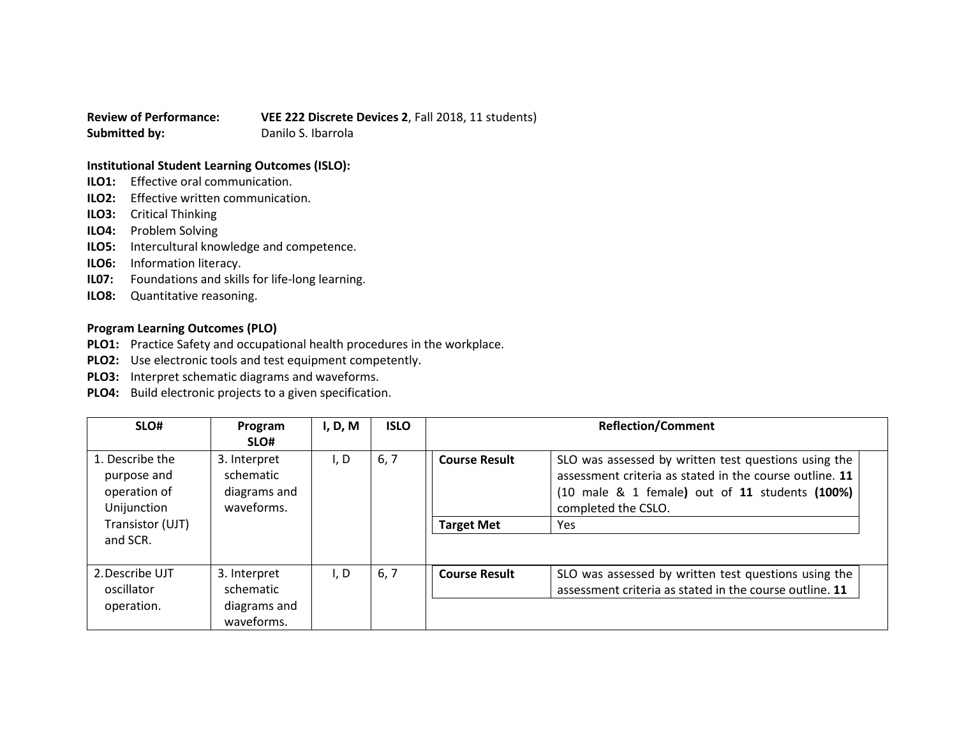**Review of Performance: VEE 222 Discrete Devices 2**, Fall 2018, 11 students) **Submitted by:** Danilo S. Ibarrola

## **Institutional Student Learning Outcomes (ISLO):**

- **ILO1:** Effective oral communication.
- **ILO2:** Effective written communication.
- **ILO3:** Critical Thinking
- **ILO4:** Problem Solving
- **ILO5:** Intercultural knowledge and competence.
- **ILO6:** Information literacy.
- **IL07:** Foundations and skills for life-long learning.
- **ILO8:** Quantitative reasoning.

## **Program Learning Outcomes (PLO)**

- **PLO1:** Practice Safety and occupational health procedures in the workplace.
- **PLO2:** Use electronic tools and test equipment competently.
- **PLO3:** Interpret schematic diagrams and waveforms.
- **PLO4:** Build electronic projects to a given specification.

| SLO#                                                                                          | Program<br>SLO#                                         | I, D, M | <b>ISLO</b> | <b>Reflection/Comment</b>                 |                                                                                                                                                                                                                       |
|-----------------------------------------------------------------------------------------------|---------------------------------------------------------|---------|-------------|-------------------------------------------|-----------------------------------------------------------------------------------------------------------------------------------------------------------------------------------------------------------------------|
| 1. Describe the<br>purpose and<br>operation of<br>Unijunction<br>Transistor (UJT)<br>and SCR. | 3. Interpret<br>schematic<br>diagrams and<br>waveforms. | I, D    | 6, 7        | <b>Course Result</b><br><b>Target Met</b> | SLO was assessed by written test questions using the<br>assessment criteria as stated in the course outline. 11<br>$(10 \text{ male } 8 \text{ 1 female})$ out of 11 students $(100\%)$<br>completed the CSLO.<br>Yes |
| 2. Describe UJT<br>oscillator<br>operation.                                                   | 3. Interpret<br>schematic<br>diagrams and               | I, D    | 6, 7        | <b>Course Result</b>                      | SLO was assessed by written test questions using the<br>assessment criteria as stated in the course outline. 11                                                                                                       |
|                                                                                               | waveforms.                                              |         |             |                                           |                                                                                                                                                                                                                       |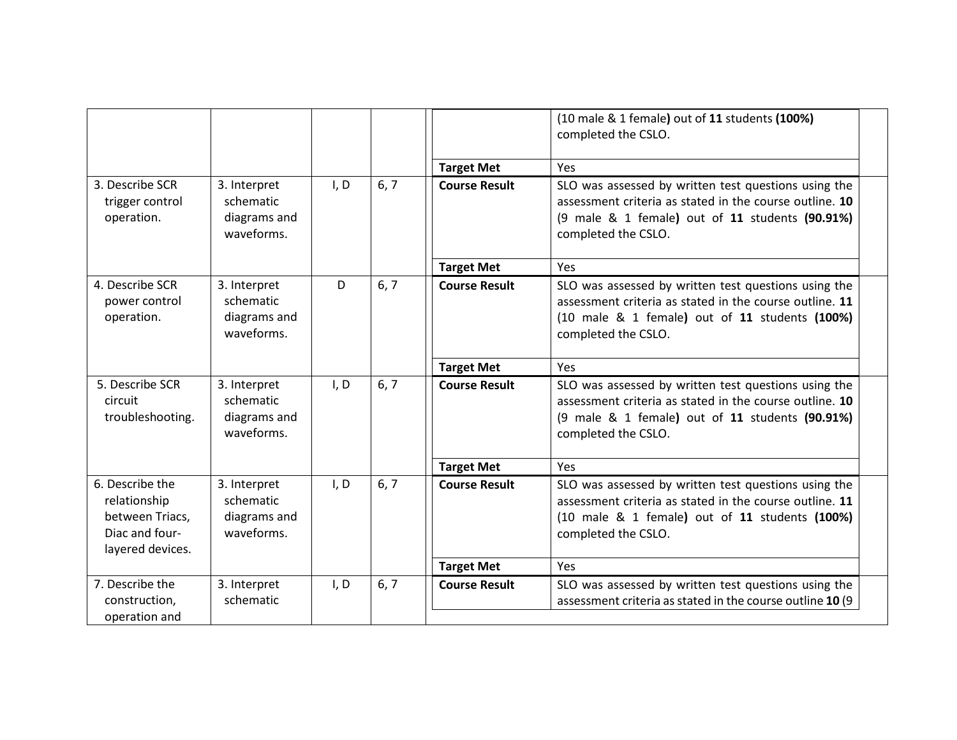|                                                                                          |                                                         |      |      |                      | (10 male & 1 female) out of 11 students (100%)<br>completed the CSLO.                                                                                                                     |
|------------------------------------------------------------------------------------------|---------------------------------------------------------|------|------|----------------------|-------------------------------------------------------------------------------------------------------------------------------------------------------------------------------------------|
|                                                                                          |                                                         |      |      | <b>Target Met</b>    | Yes                                                                                                                                                                                       |
| 3. Describe SCR<br>trigger control<br>operation.                                         | 3. Interpret<br>schematic<br>diagrams and<br>waveforms. | I, D | 6, 7 | <b>Course Result</b> | SLO was assessed by written test questions using the<br>assessment criteria as stated in the course outline. 10<br>(9 male & 1 female) out of 11 students (90.91%)<br>completed the CSLO. |
|                                                                                          |                                                         |      |      | <b>Target Met</b>    | Yes                                                                                                                                                                                       |
| 4. Describe SCR<br>power control<br>operation.                                           | 3. Interpret<br>schematic<br>diagrams and<br>waveforms. | D    | 6, 7 | <b>Course Result</b> | SLO was assessed by written test questions using the<br>assessment criteria as stated in the course outline. 11<br>(10 male & 1 female) out of 11 students (100%)<br>completed the CSLO.  |
|                                                                                          |                                                         |      |      | <b>Target Met</b>    | Yes                                                                                                                                                                                       |
| 5. Describe SCR<br>circuit<br>troubleshooting.                                           | 3. Interpret<br>schematic<br>diagrams and<br>waveforms. | I, D | 6, 7 | <b>Course Result</b> | SLO was assessed by written test questions using the<br>assessment criteria as stated in the course outline. 10<br>(9 male & 1 female) out of 11 students (90.91%)<br>completed the CSLO. |
|                                                                                          |                                                         |      |      | <b>Target Met</b>    | Yes                                                                                                                                                                                       |
| 6. Describe the<br>relationship<br>between Triacs,<br>Diac and four-<br>layered devices. | 3. Interpret<br>schematic<br>diagrams and<br>waveforms. | I, D | 6, 7 | <b>Course Result</b> | SLO was assessed by written test questions using the<br>assessment criteria as stated in the course outline. 11<br>(10 male & 1 female) out of 11 students (100%)<br>completed the CSLO.  |
|                                                                                          |                                                         |      |      | <b>Target Met</b>    | Yes                                                                                                                                                                                       |
| 7. Describe the<br>construction,<br>operation and                                        | 3. Interpret<br>schematic                               | I, D | 6, 7 | <b>Course Result</b> | SLO was assessed by written test questions using the<br>assessment criteria as stated in the course outline 10 (9                                                                         |